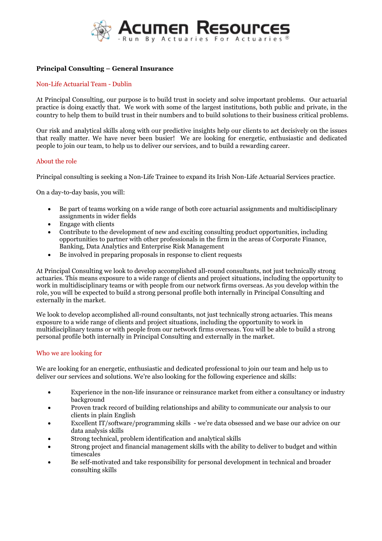

# **Principal Consulting – General Insurance**

## Non-Life Actuarial Team - Dublin

At Principal Consulting, our purpose is to build trust in society and solve important problems. Our actuarial practice is doing exactly that. We work with some of the largest institutions, both public and private, in the country to help them to build trust in their numbers and to build solutions to their business critical problems.

Our risk and analytical skills along with our predictive insights help our clients to act decisively on the issues that really matter. We have never been busier! We are looking for energetic, enthusiastic and dedicated people to join our team, to help us to deliver our services, and to build a rewarding career.

## About the role

Principal consulting is seeking a Non-Life Trainee to expand its Irish Non-Life Actuarial Services practice.

On a day-to-day basis, you will:

- Be part of teams working on a wide range of both core actuarial assignments and multidisciplinary assignments in wider fields
- Engage with clients
- Contribute to the development of new and exciting consulting product opportunities, including opportunities to partner with other professionals in the firm in the areas of Corporate Finance,Banking, Data Analytics and Enterprise Risk Management
- Be involved in preparing proposals in response to client requests

At Principal Consulting we look to develop accomplished all-round consultants, not just technically strong actuaries. This means exposure to a wide range of clients and project situations, including the opportunity to work in multidisciplinary teams or with people from our network firms overseas. As you develop within the role, you will be expected to build a strong personal profile both internally in Principal Consulting and externally in the market.

We look to develop accomplished all-round consultants, not just technically strong actuaries.This means exposure to awide range of clients and project situations, including the opportunity to work in multidisciplinary teams or with people from our network firms overseas. You will be able to build a strong personal profile both internally in Principal Consulting and externally in the market.

## Who we are looking for

We are looking for an energetic, enthusiastic and dedicated professional to join our team and help us to deliver our services and solutions. We're also looking for the following experience and skills:

- Experience in the non-life insurance or reinsurance market from either a consultancy or industry background
- Proven track record of building relationships and ability to communicate our analysis to our clients in plain English
- Excellent IT/software/programming skills we're data obsessed and we base our advice on our data analysis skills
- Strong technical, problem identification and analytical skills
- Strong project and financial management skills with the ability to deliver to budget and within timescales
- Be self-motivated and take responsibility for personal development in technical and broader consulting skills